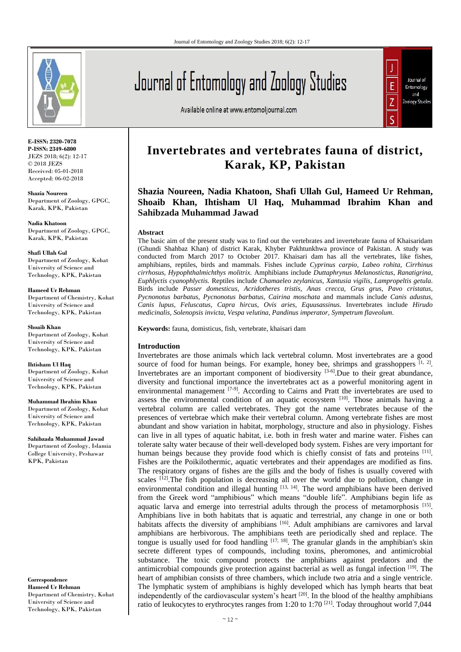

**E-ISSN: 2320-7078 P-ISSN: 2349-6800** JEZS 2018; 6(2): 12-17 © 2018 JEZS Received: 05-01-2018 Accepted: 06-02-2018

**Shazia Noureen** Department of Zoology, GPGC, Karak, KPK, Pakistan

**Nadia Khatoon** Department of Zoology, GPGC, Karak, KPK, Pakistan

**Shafi Ullah Gul** Department of Zoology, Kohat University of Science and Technology, KPK, Pakistan

**Hameed Ur Rehman** Department of Chemistry, Kohat University of Science and Technology, KPK, Pakistan

**Shoaib Khan** Department of Zoology, Kohat University of Science and Technology, KPK, Pakistan

**Ihtisham Ul Haq** Department of Zoology, Kohat University of Science and Technology, KPK, Pakistan

**Muhammad Ibrahim Khan** Department of Zoology, Kohat University of Science and Technology, KPK, Pakistan

**Sahibzada Muhammad Jawad** Department of Zoology, Islamia College University, Peshawar KPK, Pakistan

**Correspondence Hameed Ur Rehman** Department of Chemistry, Kohat University of Science and Technology, KPK, Pakistan

Journal of Entomology and Zoology Studies





# **Invertebrates and vertebrates fauna of district, Karak, KP, Pakistan**

**Shazia Noureen, Nadia Khatoon, Shafi Ullah Gul, Hameed Ur Rehman, Shoaib Khan, Ihtisham Ul Haq, Muhammad Ibrahim Khan and Sahibzada Muhammad Jawad**

### **Abstract**

The basic aim of the present study was to find out the vertebrates and invertebrate fauna of Khaisaridam (Ghundi Shahbaz Khan) of district Karak, Khyber Pakhtunkhwa province of Pakistan. A study was conducted from March 2017 to October 2017. Khaisari dam has all the vertebrates, like fishes, amphibians, reptiles, birds and mammals. Fishes include *Cyprinus carpio, Labeo rohita, Cirrhinus cirrhosus, Hypophthalmichthys molitrix.* Amphibians include *Duttaphrynus Melanostictus, Ranatigrina, Euphlyctis cyanophlyctis.* Reptiles include *Chamaeleo zeylanicus, Xantusia vigilis, Lampropeltis getula*. Birds include *Passer domesticus, Acridotheres tristis, Anas crecca, Grus grus, Pavo cristatus, Pycnonotus barbatus, Pycnonotus barbatus, Cairina moschata* and mammals include *Canis adustus, Canis lupus, Feluscatus, Capra hircus, Ovis aries, Equusassinus.* Invertebrates include *Hirudo medicinalis, Solenopsis invicta, Vespa velutina, Pandinus imperator, Sympetrum flaveolum*.

**Keywords:** fauna, domisticus, fish, vertebrate, khaisari dam

# **Introduction**

Invertebrates are those animals which lack vertebral column. Most invertebrates are a good source of food for human beings. For example, honey bee, shrimps and grasshoppers  $[1, 2]$ . Invertebrates are an important component of biodiversity  $[3-6]$ . Due to their great abundance, diversity and functional importance the invertebrates act as a powerful monitoring agent in environmental management <sup>[7-9]</sup>. According to Cairns and Pratt the invertebrates are used to assess the environmental condition of an aquatic ecosystem [10]. Those animals having a vertebral column are called vertebrates. They got the name vertebrates because of the presences of vertebrae which make their vertebral column. Among vertebrate fishes are most abundant and show variation in habitat, morphology, structure and also in physiology. Fishes can live in all types of aquatic habitat, i.e. both in fresh water and marine water. Fishes can tolerate salty water because of their well-developed body system. Fishes are very important for human beings because they provide food which is chiefly consist of fats and proteins [11]. Fishes are the Poikilothermic, aquatic vertebrates and their appendages are modified as fins. The respiratory organs of fishes are the gills and the body of fishes is usually covered with scales <sup>[12]</sup>. The fish population is decreasing all over the world due to pollution, change in environmental condition and illegal hunting  $^{[13, 14]}$ . The word amphibians have been derived from the Greek word "amphibious" which means "double life". Amphibians begin life as aquatic larva and emerge into terrestrial adults through the process of metamorphosis [15]. Amphibians live in both habitats that is aquatic and terrestrial, any change in one or both habitats affects the diversity of amphibians <sup>[16]</sup>. Adult amphibians are carnivores and larval amphibians are herbivorous. The amphibians teeth are periodically shed and replace. The tongue is usually used for food handling  $[17, 18]$ . The granular glands in the amphibian's skin secrete different types of compounds, including toxins, pheromones, and antimicrobial substance. The toxic compound protects the amphibians against predators and the antimicrobial compounds give protection against bacterial as well as fungal infection  $[19]$ . The heart of amphibian consists of three chambers, which include two atria and a single ventricle. The lymphatic system of amphibians is highly developed which has lymph hearts that beat independently of the cardiovascular system's heart  $[20]$ . In the blood of the healthy amphibians ratio of leukocytes to erythrocytes ranges from 1:20 to 1:70<sup>[21]</sup>. Today throughout world 7,044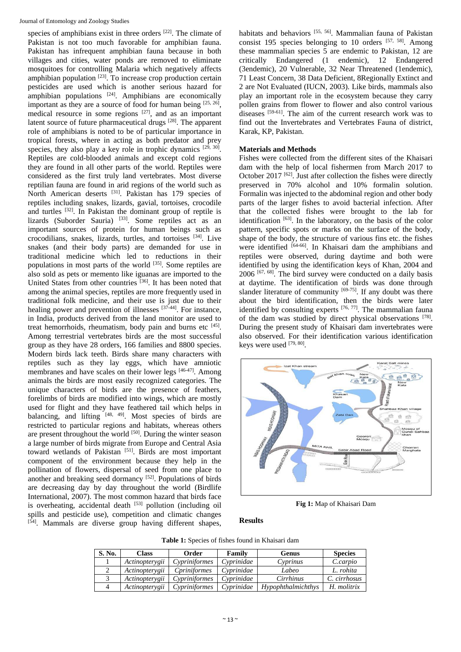species of amphibians exist in three orders <sup>[22]</sup>. The climate of Pakistan is not too much favorable for amphibian fauna. Pakistan has infrequent amphibian fauna because in both villages and cities, water ponds are removed to eliminate mosquitoes for controlling Malaria which negatively affects amphibian population [23]. To increase crop production certain pesticides are used which is another serious hazard for amphibian populations  $[24]$ . Amphibians are economically important as they are a source of food for human being  $[25, 26]$ , medical resource in some regions [27], and as an important latent source of future pharmaceutical drugs <sup>[28]</sup>. The apparent role of amphibians is noted to be of particular importance in tropical forests, where in acting as both predator and prey species, they also play a key role in trophic dynamics  $[29, 30]$ . Reptiles are cold-blooded animals and except cold regions they are found in all other parts of the world. Reptiles were considered as the first truly land vertebrates. Most diverse reptilian fauna are found in arid regions of the world such as North American deserts <sup>[31]</sup>. Pakistan has 179 species of reptiles including snakes, lizards, gavial, tortoises, crocodile and turtles [32]. In Pakistan the dominant group of reptile is lizards (Suborder Sauria) <sup>[33]</sup>. Some reptiles act as an important sources of protein for human beings such as crocodilians, snakes, lizards, turtles, and tortoises [34]. Live snakes (and their body parts) are demanded for use in traditional medicine which led to reductions in their populations in most parts of the world [35]. Some reptiles are also sold as pets or memento like iguanas are imported to the United States from other countries [36]. It has been noted that among the animal species, reptiles are more frequently used in traditional folk medicine, and their use is just due to their healing power and prevention of illnesses  $[37-44]$ . For instance, in India, products derived from the land monitor are used to treat hemorrhoids, rheumatism, body pain and burns etc  $[45]$ . Among terrestrial vertebrates birds are the most successful group as they have 28 orders, 166 families and 8800 species. Modern birds lack teeth. Birds share many characters with reptiles such as they lay eggs, which have amniotic membranes and have scales on their lower legs [46-47]. Among animals the birds are most easily recognized categories. The unique characters of birds are the presence of feathers, forelimbs of birds are modified into wings, which are mostly used for flight and they have feathered tail which helps in balancing, and lifting  $[48, 49]$ . Most species of birds are restricted to particular regions and habitats, whereas others are present throughout the world  $[50]$ . During the winter season a large number of birds migrate from Europe and Central Asia toward wetlands of Pakistan [51]. Birds are most important component of the environment because they help in the pollination of flowers, dispersal of seed from one place to another and breaking seed dormancy [52]. Populations of birds are decreasing day by day throughout the world (Birdlife International, 2007). The most common hazard that birds face is overheating, accidental death  $[53]$  pollution (including oil spills and pesticide use), competition and climatic changes [54]. Mammals are diverse group having different shapes,

habitats and behaviors [55, 56]. Mammalian fauna of Pakistan consist 195 species belonging to 10 orders  $[57, 58]$ . Among these mammalian species 5 are endemic to Pakistan, 12 are critically Endangered (1 endemic), 12 Endangered (3endemic), 20 Vulnerable, 32 Near Threatened (1endemic), 71 Least Concern, 38 Data Deficient, 8Regionally Extinct and 2 are Not Evaluated (IUCN, 2003). Like birds, mammals also play an important role in the ecosystem because they carry pollen grains from flower to flower and also control various diseases [59-61]. The aim of the current research work was to find out the Invertebrates and Vertebrates Fauna of district, Karak, KP, Pakistan.

## **Materials and Methods**

Fishes were collected from the different sites of the Khaisari dam with the help of local fishermen from March 2017 to October 2017<sup>[62]</sup>. Just after collection the fishes were directly preserved in 70% alcohol and 10% formalin solution. Formalin was injected to the abdominal region and other body parts of the larger fishes to avoid bacterial infection. After that the collected fishes were brought to the lab for identification [63]. In the laboratory, on the basis of the color pattern, specific spots or marks on the surface of the body, shape of the body, the structure of various fins etc. the fishes were identified [64-66]. In Khaisari dam the amphibians and reptiles were observed, during daytime and both were identified by using the identification keys of Khan, 2004 and 2006 [67, 68]. The bird survey were conducted on a daily basis at daytime. The identification of birds was done through slander literature of community  $[69-75]$ . If any doubt was there about the bird identification, then the birds were later identified by consulting experts <sup>[76, 77]</sup>. The mammalian fauna of the dam was studied by direct physical observations [78]. During the present study of Khaisari dam invertebrates were also observed. For their identification various identification keys were used [79, 80].



**Fig 1:** Map of Khaisari Dam

#### **Results**

**Table 1:** Species of fishes found in Khaisari dam

| S. No. | <b>Class</b>   | Order               | Family     | Genus              | <b>Species</b> |
|--------|----------------|---------------------|------------|--------------------|----------------|
|        | Actinopterygii | Cypriniformes       | Cyprinidae | Cyprinus           | C.carpio       |
|        | Actinopterygii | <i>Cpriniformes</i> | Cyprinidae | Labeo              | L. rohita      |
|        | Actinopterygii | Cypriniformes       | Cyprinidae | <i>Cirrhinus</i>   | C. cirrhosus   |
|        | Actinopterygii | Cypriniformes       | Cyprinidae | Hypophthalmichthys | H. molitrix    |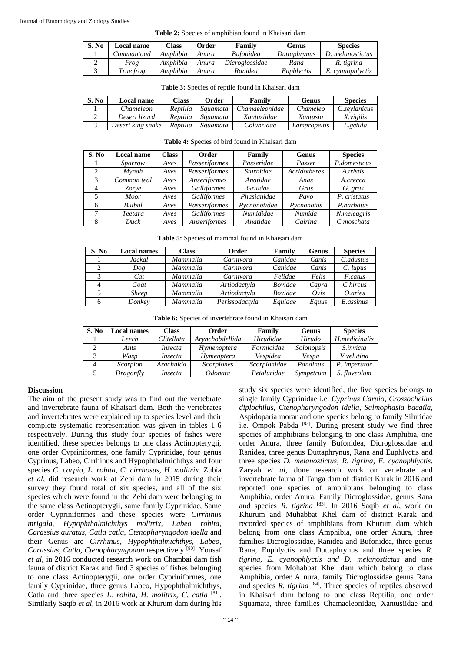| <b>Table 2:</b> Species of amphibian found in Khaisari dam |
|------------------------------------------------------------|
|------------------------------------------------------------|

| S. No | <b>Local name</b> | Class    | Order | Familv           | Genus        | <b>Species</b>   |
|-------|-------------------|----------|-------|------------------|--------------|------------------|
|       | Commantoad        | Amphibia | Anura | <b>Bufonidea</b> | Duttaphrynus | D. melanostictus |
|       | Frog              | Amphibia | Anura | Dicroglossidae   | Rana         | R. tigrina       |
|       | True frog         | Amphibia | Anura | Ranidea          | Euphlyctis   | E. cyanophlyctis |

| Table 3: Species of reptile found in Khaisari dam |  |
|---------------------------------------------------|--|
|---------------------------------------------------|--|

| S. No | <b>Local name</b> | Class    | Order    | Family         | Genus        | <b>Species</b> |
|-------|-------------------|----------|----------|----------------|--------------|----------------|
|       | Chameleon         | Reptilia | Sauamata | Chamaeleonidae | Chameleo     | C.zeylanicus   |
|       | Desert lizard     | Reptilia | Sauamata | Xantusiidae    | Xantusia     | X. vigilis     |
|       | Desert king snake | Reptilia | Sauamata | Colubridae     | Lampropeltis | getula         |

| S. No | Local name    | <b>Class</b> | Order              | Family           | <b>Genus</b> | <b>Species</b> |
|-------|---------------|--------------|--------------------|------------------|--------------|----------------|
|       | Sparrow       | Aves         | Passeriformes      | Passeridae       | Passer       | P.domesticus   |
|       | Mynah         | Aves         | Passeriformes      | <i>Sturnidae</i> | Acridotheres | A.tristis      |
| 3     | Common teal   | Aves         | Anseriformes       | Anatidae         | Anas         | A.crecca       |
|       | Zorve         | Aves         | <b>Galliformes</b> | Gruidae          | Grus         | G. grus        |
|       | Moor          | Aves         | <b>Galliformes</b> | Phasianidae      | Pavo         | P. cristatus   |
| 6     | <b>Bulbul</b> | Aves         | Passeriformes      | Pycnonotidae     | Pycnonotus   | P.barbatus     |
|       | Teetara       | Aves         | Galliformes        | Numididae        | Numida       | N.meleagris    |
|       | Duck          | Aves         | Anseriformes       | Anatidae         | Cairina      | C.moschata     |

**Table 4:** Species of bird found in Khaisari dam

|  |  | Table 5: Species of mammal found in Khaisari dam |  |  |  |  |
|--|--|--------------------------------------------------|--|--|--|--|
|--|--|--------------------------------------------------|--|--|--|--|

| S. No | <b>Local names</b> | Class    | <b>Order</b>   | Family         | <b>Genus</b> | <b>Species</b> |
|-------|--------------------|----------|----------------|----------------|--------------|----------------|
|       | Jackal             | Mammalia | Carnivora      | Canidae        | Canis        | C.adustus      |
|       | Dog                | Mammalia | Carnivora      | Canidae        | Canis        | C. lupus       |
|       | Cat                | Mammalia | Carnivora      | Felidae        | Felis        | <i>F.catus</i> |
|       | Goat               | Mammalia | Artiodactyla   | <b>Bovidae</b> | Capra        | C.hircus       |
|       | <b>Sheep</b>       | Mammalia | Artiodactyla   | <b>Bovidae</b> | Ovis         | O.aries        |
|       | Donkey             | Mammalia | Perissodactyla | Equidae        | Equus        | E.assinus      |

**Table 6:** Species of invertebrate found in Khaisari dam

| S. No | <b>Local names</b> | <b>Class</b> | Order             | Family       | <b>Genus</b>      | <b>Species</b>   |
|-------|--------------------|--------------|-------------------|--------------|-------------------|------------------|
|       | Leech              | Clitellata   | Arvnchobdellida   | Hirudidae    | Hirudo            | H.medicinalis    |
|       | Ants               | Insecta      | Hymenoptera       | Formicidae   | <b>Solonopsis</b> | <i>S.invicta</i> |
|       | Wasp               | Insecta      | Hymenptera        | Vespidea     | Vespa             | V. velutina      |
|       | Scorpion           | Arachnida    | <b>Scorpiones</b> | Scorpionidae | Pandinus          | P. imperator     |
|       | Dragonfly          | Insecta      | <i>Odonata</i>    | Petaluridae  | Sympetrum         | S. flaveolum     |

## **Discussion**

The aim of the present study was to find out the vertebrate and invertebrate fauna of Khaisari dam. Both the vertebrates and invertebrates were explained up to species level and their complete systematic representation was given in tables 1-6 respectively. During this study four species of fishes were identified, these species belongs to one class Actinopterygii, one order Cypriniformes, one family Cyprinidae, four genus Cyprinus, Labeo, Cirrhinus and Hypophthalmichthys and four species *C. carpio, L. rohita, C. cirrhosus, H. molitrix.* Zubia *et al*, did research work at Zebi dam in 2015 during their survey they found total of six species, and all of the six species which were found in the Zebi dam were belonging to the same class Actinopterygii, same family Cyprinidae, Same order Cypriniformes and these species were *Cirrhinus mrigala, Hypophthalmichthys molitrix, Labeo rohita, Carassius auratus, Catla catla, Ctenopharyngodon idella* and their Genus are *Cirrhinus, Hypophthalmichthys, Labeo,*  Carassius, Catla, Ctenopharyngodon respectively<sup>[80]</sup>. Yousaf *et al*, in 2016 conducted research work on Chambai dam fish fauna of district Karak and find 3 species of fishes belonging to one class Actinopterygii, one order Cypriniformes, one family Cyprinidae, three genus Labeo, Hypophthalmichthys, Catla and three species *L. rohita, H. molitrix, C. catla* [81] . Similarly Saqib *et al,* in 2016 work at Khurum dam during his

study six species were identified, the five species belongs to single family Cyprinidae i.e. *Cyprinus Carpio*, *Crossocheilus diplochilus*, *Ctenopharyngodon idella*, *Salmophasia bacaila*, Aspidoparia morar and one species belong to family Siluridae i.e. Ompok Pabda<sup>[82]</sup>. During present study we find three species of amphibians belonging to one class Amphibia, one order Anura, three family Bufonidea, Dicroglossidae and Ranidea, three genus Duttaphrynus, Rana and Euphlyctis and three species *D. melanostictus*, *R. tigrina*, *E. cyanophlyctis*. Zaryab *et al*, done research work on vertebrate and invertebrate fauna of Tanga dam of district Karak in 2016 and reported one species of amphibians belonging to class Amphibia, order Anura, Family Dicroglossidae, genus Rana and species *R. tigrina* [83]. In 2016 Saqib *et al*, work on Khurum and Muhabbat Khel dam of district Karak and recorded species of amphibians from Khurum dam which belong from one class Amphibia, one order Anura, three families Dicroglossidae, Ranidea and Bufonidea, three genus Rana, Euphlyctis and Duttaphrynus and three species *R. tigrina, E. cyanophlyctis and D. melanostictus* and one species from Mohabbat Khel dam which belong to class Amphibia, order A nura, family Dicroglossidae genus Rana and species *R. tigrina* [84] . Three species of reptiles observed in Khaisari dam belong to one class Reptilia, one order Squamata, three families Chamaeleonidae, Xantusiidae and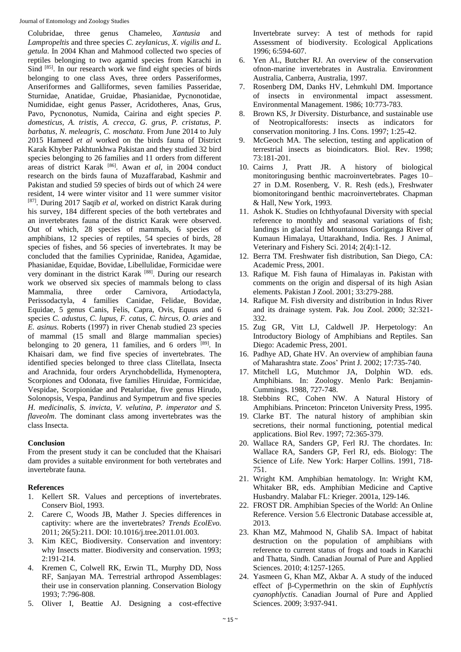Colubridae, three genus Chameleo, *Xantusia* and *Lampropeltis* and three species *C. zeylanicus, X. vigilis and L. getula*. In 2004 Khan and Mahmood collected two species of reptiles belonging to two agamid species from Karachi in Sind [85]. In our research work we find eight species of birds belonging to one class Aves, three orders Passeriformes, Anseriformes and Galliformes, seven families Passeridae, Sturnidae, Anatidae, Gruidae, Phasianidae, Pycnonotidae, Numididae, eight genus Passer, Acridotheres, Anas, Grus, Pavo, Pycnonotus, Numida, Cairina and eight species *P. domesticus, A. tristis, A. crecca, G. grus, P. cristatus, P. barbatus, N. meleagris, C. moschata*. From June 2014 to July 2015 Hameed *et al* worked on the birds fauna of District Karak Khyber Pakhtunkhwa Pakistan and they studied 32 bird species belonging to 26 families and 11 orders from different areas of district Karak [86]. Awan *et al*, in 2004 conduct research on the birds fauna of Muzaffarabad, Kashmir and Pakistan and studied 59 species of birds out of which 24 were resident, 14 were winter visitor and 11 were summer visitor [87]. During 2017 Saqib *et al*, worked on district Karak during his survey, 184 different species of the both vertebrates and an invertebrates fauna of the district Karak were observed. Out of which, 28 species of mammals, 6 species of amphibians, 12 species of reptiles, 54 species of birds, 28 species of fishes, and 56 species of invertebrates. It may be concluded that the families Cyprinidae, Ranidea, Agamidae, Phasianidae, Equidae, Bovidae, Libellulidae, Formicidae were very dominant in the district Karak [88]. During our research work we observed six species of mammals belong to class Mammalia, three order Carnivora, Artiodactyla, Perissodactyla, 4 families Canidae, Felidae, Bovidae, Equidae, 5 genus Canis, Felis, Capra, Ovis, Equus and 6 species *C. adustus, C. lupus, F. catus, C. hircus, O. aries* and *E. asinus.* Roberts (1997) in river Chenab studied 23 species of mammal (15 small and 8large mammalian species) belonging to 20 genera, 11 families, and 6 orders [89]. In Khaisari dam, we find five species of invertebrates. The identified species belonged to three class Clitellata, Insecta and Arachnida, four orders Arynchobdellida, Hymenoptera, Scorpiones and Odonata, five families Hiruidae, Formicidae, Vespidae, Scorpionidae and Petaluridae, five genus Hirudo, Solonopsis, Vespa, Pandinus and Sympetrum and five species *H. medicinalis, S. invicta, V. velutina, P. imperator and S. flaveolm*. The dominant class among invertebrates was the class Insecta.

# **Conclusion**

From the present study it can be concluded that the Khaisari dam provides a suitable environment for both vertebrates and invertebrate fauna.

# **References**

- 1. Kellert SR. Values and perceptions of invertebrates. Conserv Biol, 1993.
- 2. Carere C, Woods JB, Mather J. Species differences in captivity: where are the invertebrates? *Trends EcolEvo.*  2011; 26(5):211. DOI: 10.1016/j.tree.2011.01.003.
- 3. Kim KEC, Biodiversity. Conservation and inventory: why Insects matter. Biodiversity and conservation. 1993; 2:191-214.
- 4. Kremen C, Colwell RK, Erwin TL, Murphy DD, Noss RF, Sanjayan MA. Terrestrial arthropod Assemblages: their use in conservation planning. Conservation Biology 1993; 7:796-808.
- 5. Oliver I, Beattie AJ. Designing a cost-effective

Invertebrate survey: A test of methods for rapid Assessment of biodiversity. Ecological Applications 1996; 6:594-607.

- 6. Yen AL, Butcher RJ. An overview of the conservation ofnon-marine invertebrates in Australia. Environment Australia, Canberra, Australia, 1997.
- 7. Rosenberg DM, Danks HV, Lehmkuhl DM. Importance of insects in environmental impact assessment. Environmental Management. 1986; 10:773-783.
- 8. Brown KS, Jr Diversity. Disturbance, and sustainable use of Neotropicalforests: insects as indicators for conservation monitoring. J Ins. Cons. 1997; 1:25-42.
- 9. McGeoch MA. The selection, testing and application of terrestrial insects as bioindicators. Biol. Rev. 1998; 73:181-201.
- 10. Cairns J, Pratt JR. A history of biological monitoringusing benthic macroinvertebrates. Pages 10– 27 in D.M. Rosenberg, V. R. Resh (eds.), Freshwater biomonitoringand benthic macroinvertebrates. Chapman & Hall, New York, 1993.
- 11. Ashok K. Studies on Ichthyofaunal Diversity with special reference to monthly and seasonal variations of fish; landings in glacial fed Mountainous Goriganga River of Kumaun Himalaya, Uttarakhand, India. Res. J Animal, Veterinary and Fishery Sci. 2014; 2(4):1-12.
- 12. Berra TM. Freshwater fish distribution, San Diego, CA: Academic Press, 2001.
- 13. Rafique M. Fish fauna of Himalayas in. Pakistan with comments on the origin and dispersal of its high Asian elements. Pakistan J Zool. 2001; 33:279-288.
- 14. Rafique M. Fish diversity and distribution in Indus River and its drainage system. Pak. Jou Zool. 2000; 32:321- 332.
- 15. Zug GR, Vitt LJ, Caldwell JP. Herpetology: An Introductory Biology of Amphibians and Reptiles. San Diego: Academic Press, 2001.
- 16. Padhye AD, Ghate HV. An overview of amphibian fauna of Maharashtra state. Zoos' Print J*.* 2002; 17:735-740.
- 17. Mitchell LG, Mutchmor JA, Dolphin WD. eds. Amphibians. In: Zoology. Menlo Park: Benjamin-Cummings. 1988, 727-748.
- 18. Stebbins RC, Cohen NW. A Natural History of Amphibians. Princeton: Princeton University Press, 1995.
- 19. Clarke BT. The natural history of amphibian skin secretions, their normal functioning, potential medical applications. Biol Rev. 1997; 72:365-379.
- 20. Wallace RA, Sanders GP, Ferl RJ. The chordates. In: Wallace RA, Sanders GP, Ferl RJ, eds. Biology: The Science of Life. New York: Harper Collins. 1991, 718- 751.
- 21. Wright KM. Amphibian hematology. In: Wright KM, Whitaker BR, eds. Amphibian Medicine and Captive Husbandry. Malabar FL: Krieger. 2001a, 129-146.
- 22. FROST DR. Amphibian Species of the World: An Online Reference. Version 5.6 Electronic Database accessible at, 2013.
- 23. Khan MZ, Mahmood N, Ghalib SA. Impact of habitat destruction on the population of amphibians with reference to current status of frogs and toads in Karachi and Thatta, Sindh. Canadian Journal of Pure and Applied Sciences. 2010; 4:1257-1265.
- 24. Yasmeen G, Khan MZ, Akbar A. A study of the induced effect of β-Cypermethrin on the skin of *Euphlyctis cyanophlyctis*. Canadian Journal of Pure and Applied Sciences. 2009; 3:937-941.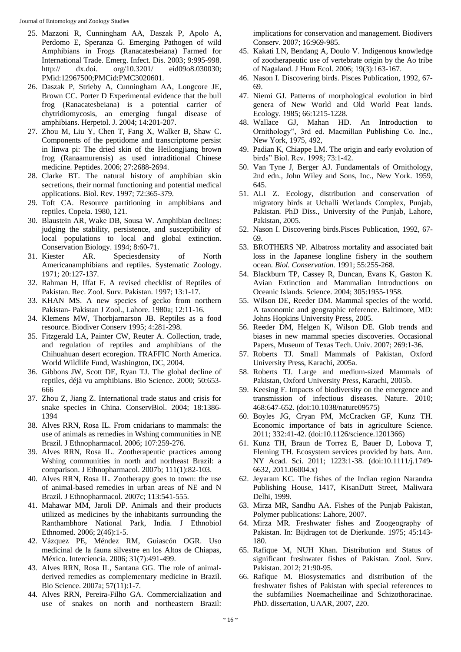Journal of Entomology and Zoology Studies

- 25. Mazzoni R, Cunningham AA, Daszak P, Apolo A, Perdomo E, Speranza G. Emerging Pathogen of wild Amphibians in Frogs (Ranacatesbeiana) Farmed for International Trade. Emerg. Infect. Dis. 2003; 9:995-998. http:// dx.doi. org/10.3201/ eid09o8.030030; PMid:12967500;PMCid:PMC3020601.
- 26. Daszak P, Strieby A, Cunningham AA, Longcore JE, Brown CC. Porter D Experimental evidence that the bull frog (Ranacatesbeiana) is a potential carrier of chytridiomycosis, an emerging fungal disease of amphibians. Herpetol. J. 2004; 14:201-207.
- 27. Zhou M, Liu Y, Chen T, Fang X, Walker B, Shaw C. Components of the peptidome and transcriptome persist in linwa pi: The dried skin of the Heilongjiang brown frog (Ranaamurensis) as used intraditional Chinese medicine. Peptides. 2006; 27:2688-2694.
- 28. Clarke BT. The natural history of amphibian skin secretions, their normal functioning and potential medical applications. Biol. Rev. 1997; 72:365-379.
- 29. Toft CA. Resource partitioning in amphibians and reptiles. Copeia. 1980, 121.
- 30. Blaustein AR, Wake DB, Sousa W. Amphibian declines: judging the stability, persistence, and susceptibility of local populations to local and global extinction. Conservation Biology. 1994; 8:60-71.
- 31. Kiester AR. Speciesdensity of North Americanamphibians and reptiles. Systematic Zoology. 1971; 20:127-137.
- 32. Rahman H, Iffat F. A revised checklist of Reptiles of Pakistan. Rec. Zool. Surv. Pakistan. 1997; 13:1-17.
- 33. KHAN MS. A new species of gecko from northern Pakistan- Pakistan J Zool., Lahore. 1980a; 12:11-16.
- 34. Klemens MW, Thorbjarnarson JB. Reptiles as a food resource. Biodiver Conserv 1995; 4:281-298.
- 35. Fitzgerald LA, Painter CW, Reuter A. Collection, trade, and regulation of reptiles and amphibians of the Chihuahuan desert ecoregion. TRAFFIC North America. World Wildlife Fund, Washington, DC, 2004.
- 36. Gibbons JW, Scott DE, Ryan TJ. The global decline of reptiles, déjà vu amphibians. Bio Science. 2000; 50:653- 666
- 37. Zhou Z, Jiang Z. International trade status and crisis for snake species in China. ConservBiol. 2004; 18:1386- 1394
- 38. Alves RRN, Rosa IL. From cnidarians to mammals: the use of animals as remedies in Wshing communities in NE Brazil. J Ethnopharmacol. 2006; 107:259-276.
- 39. Alves RRN, Rosa IL. Zootherapeutic practices among Wshing communities in north and northeast Brazil: a comparison. J Ethnopharmacol. 2007b; 111(1):82-103.
- 40. Alves RRN, Rosa IL. Zootherapy goes to town: the use of animal-based remedies in urban areas of NE and N Brazil. J Ethnopharmacol. 2007c; 113:541-555.
- 41. Mahawar MM, Jaroli DP. Animals and their products utilized as medicines by the inhabitants surrounding the Ranthambhore National Park, India. J Ethnobiol Ethnomed. 2006; 2(46):1-5.
- 42. Vázquez PE, Méndez RM, Guiascón OGR. Uso medicinal de la fauna silvestre en los Altos de Chiapas, México. Interciencia. 2006; 31(7):491-499.
- 43. Alves RRN, Rosa IL, Santana GG. The role of animalderived remedies as complementary medicine in Brazil. Bio Science. 2007a; 57(11):1-7.
- 44. Alves RRN, Pereira-Filho GA. Commercialization and use of snakes on north and northeastern Brazil:

implications for conservation and management. Biodivers Conserv. 2007; 16:969-985.

- 45. Kakati LN, Bendang A, Doulo V. Indigenous knowledge of zootherapeutic use of vertebrate origin by the Ao tribe of Nagaland. J Hum Ecol. 2006; 19(3):163-167.
- 46. Nason I. Discovering birds. Pisces Publication, 1992, 67- 69.
- 47. Niemi GJ. Patterns of morphological evolution in bird genera of New World and Old World Peat lands. Ecology. 1985; 66:1215-1228.
- 48. Wallace GJ, Mahan HD. An Introduction to Ornithology", 3rd ed. Macmillan Publishing Co. Inc., New York, 1975, 492,
- 49. Padian K, Chiappe LM. The origin and early evolution of birds" Biol. Rev. 1998; 73:1-42.
- 50. Van Tyne J, Berger AJ. Fundamentals of Ornithology, 2nd edn., John Wiley and Sons, Inc., New York. 1959, 645.
- 51. ALI Z. Ecology, distribution and conservation of migratory birds at Uchalli Wetlands Complex, Punjab, Pakistan*.* PhD Diss., University of the Punjab, Lahore, Pakistan, 2005.
- 52. Nason I. Discovering birds.Pisces Publication, 1992, 67- 69.
- 53. BROTHERS NP. Albatross mortality and associated bait loss in the Japanese longline fishery in the southern ocean*. Biol. Conservation.* 1991; 55:255-268.
- 54. Blackburn TP, Cassey R, Duncan, Evans K, Gaston K. Avian Extinction and Mammalian Introductions on Oceanic Islands*.* Science. 2004; 305:1955-1958.
- 55. Wilson DE, Reeder DM. Mammal species of the world. A taxonomic and geographic reference. Baltimore, MD: Johns Hopkins University Press, 2005.
- 56. Reeder DM, Helgen K, Wilson DE. Glob trends and biases in new mammal species discoveries. Occasional Papers, Museum of Texas Tech. Univ. 2007; 269:1-36.
- 57. Roberts TJ. Small Mammals of Pakistan, Oxford University Press, Karachi, 2005a.
- 58. Roberts TJ. Large and medium-sized Mammals of Pakistan, Oxford University Press, Karachi, 2005b.
- 59. Keesing F. Impacts of biodiversity on the emergence and transmission of infectious diseases. Nature. 2010; 468:647-652. (doi:10.1038/nature09575)
- 60. Boyles JG, Cryan PM, McCracken GF, Kunz TH. Economic importance of bats in agriculture Science. 2011; 332:41-42. (doi:10.1126/science.1201366)
- 61. Kunz TH, Braun de Torrez E, Bauer D, Lobova T, Fleming TH. Ecosystem services provided by bats. Ann. NY Acad. Sci. 2011; 1223:1-38. (doi:10.1111/j.1749- 6632, 2011.06004.x)
- 62. Jeyaram KC. The fishes of the Indian region Narandra Publishing House, 1417, KisanDutt Street, Maliwara Delhi, 1999.
- 63. Mirza MR, Sandhu AA. Fishes of the Punjab Pakistan, Polymer publications: Lahore, 2007.
- 64. Mirza MR. Freshwater fishes and Zoogeography of Pakistan. In: Bijdragen tot de Dierkunde. 1975; 45:143- 180.
- 65. Rafique M, NUH Khan. Distribution and Status of significant freshwater fishes of Pakistan. Zool. Surv. Pakistan. 2012; 21:90-95.
- 66. Rafique M. Biosystematics and distribution of the freshwater fishes of Pakistan with special references to the subfamilies Noemacheilinae and Schizothoracinae. PhD. dissertation, UAAR, 2007, 220.